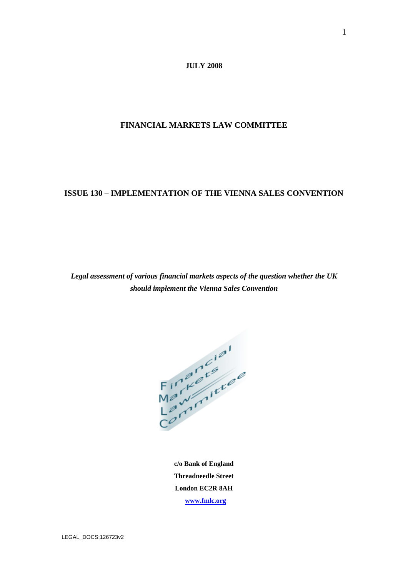**JULY 2008**

**FINANCIAL MARKETS LAW COMMITTEE**

### **ISSUE 130 – IMPLEMENTATION OF THE VIENNA SALES CONVENTION**

*Legal assessment of various financial markets aspects of the question whether the UK should implement the Vienna Sales Convention*

 $H = \frac{1}{2} \frac{1}{2} \frac{1}{2} \frac{1}{2} \frac{1}{2} \frac{1}{2} \frac{1}{2} \frac{1}{2} \frac{1}{2} \frac{1}{2} \frac{1}{2} \frac{1}{2} \frac{1}{2} \frac{1}{2} \frac{1}{2} \frac{1}{2} \frac{1}{2} \frac{1}{2} \frac{1}{2} \frac{1}{2} \frac{1}{2} \frac{1}{2} \frac{1}{2} \frac{1}{2} \frac{1}{2} \frac{1}{2} \frac{1}{2} \frac{1}{2} \frac{1}{2} \frac{1}{2} \frac{1}{2} \$ 

**c/o Bank of England Threadneedle Street London EC2R 8AH [www.fmlc.org](http://www.fmlc.org/)**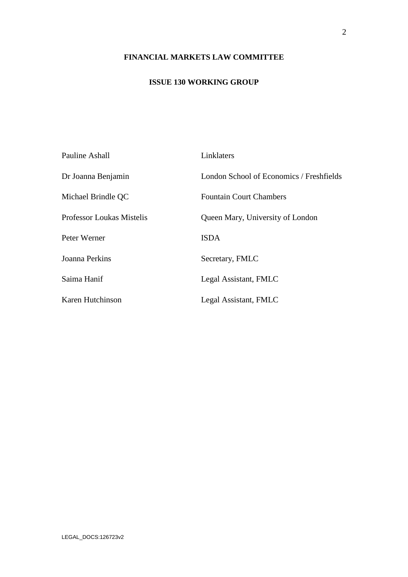## **FINANCIAL MARKETS LAW COMMITTEE**

## **ISSUE 130 WORKING GROUP**

| <b>Pauline Ashall</b>     | Linklaters                               |
|---------------------------|------------------------------------------|
| Dr Joanna Benjamin        | London School of Economics / Freshfields |
| Michael Brindle QC        | <b>Fountain Court Chambers</b>           |
| Professor Loukas Mistelis | Queen Mary, University of London         |
| Peter Werner              | <b>ISDA</b>                              |
| Joanna Perkins            | Secretary, FMLC                          |
| Saima Hanif               | Legal Assistant, FMLC                    |
| Karen Hutchinson          | Legal Assistant, FMLC                    |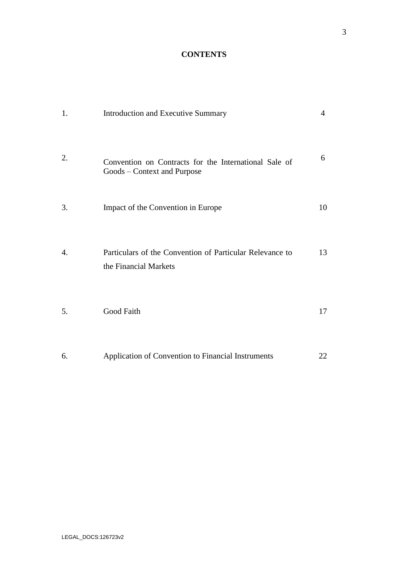## **CONTENTS**

| 1. | Introduction and Executive Summary                                                   | $\overline{4}$ |
|----|--------------------------------------------------------------------------------------|----------------|
| 2. | Convention on Contracts for the International Sale of<br>Goods – Context and Purpose | 6              |
| 3. | Impact of the Convention in Europe                                                   | 10             |
| 4. | Particulars of the Convention of Particular Relevance to<br>the Financial Markets    | 13             |
| 5. | Good Faith                                                                           | 17             |
| 6. | Application of Convention to Financial Instruments                                   | 22             |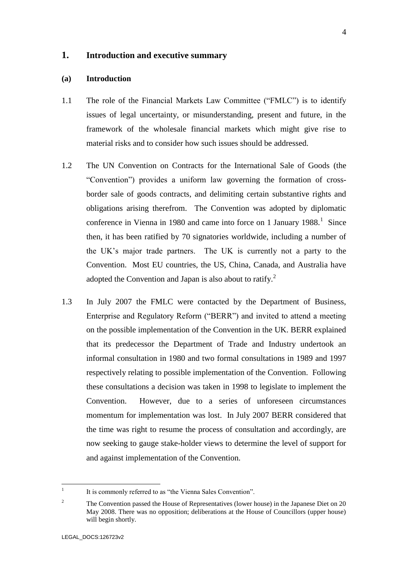### **1. Introduction and executive summary**

### **(a) Introduction**

- 1.1 The role of the Financial Markets Law Committee ("FMLC") is to identify issues of legal uncertainty, or misunderstanding, present and future, in the framework of the wholesale financial markets which might give rise to material risks and to consider how such issues should be addressed.
- 1.2 The UN Convention on Contracts for the International Sale of Goods (the "Convention") provides a uniform law governing the formation of crossborder sale of goods contracts, and delimiting certain substantive rights and obligations arising therefrom. The Convention was adopted by diplomatic conference in Vienna in 1980 and came into force on 1 January  $1988$ <sup>1</sup>. Since then, it has been ratified by 70 signatories worldwide, including a number of the UK's major trade partners. The UK is currently not a party to the Convention. Most EU countries, the US, China, Canada, and Australia have adopted the Convention and Japan is also about to ratify.<sup>2</sup>
- 1.3 In July 2007 the FMLC were contacted by the Department of Business, Enterprise and Regulatory Reform ("BERR") and invited to attend a meeting on the possible implementation of the Convention in the UK. BERR explained that its predecessor the Department of Trade and Industry undertook an informal consultation in 1980 and two formal consultations in 1989 and 1997 respectively relating to possible implementation of the Convention. Following these consultations a decision was taken in 1998 to legislate to implement the Convention. However, due to a series of unforeseen circumstances momentum for implementation was lost. In July 2007 BERR considered that the time was right to resume the process of consultation and accordingly, are now seeking to gauge stake-holder views to determine the level of support for and against implementation of the Convention.

 $\frac{1}{1}$ It is commonly referred to as "the Vienna Sales Convention".

<sup>2</sup> The Convention passed the House of Representatives (lower house) in the Japanese Diet on 20 May 2008. There was no opposition; deliberations at the House of Councillors (upper house) will begin shortly.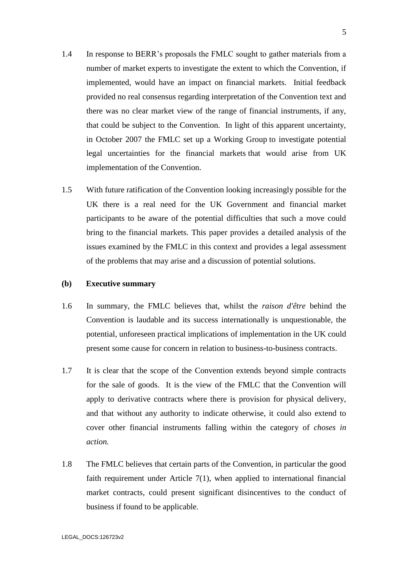- 1.4 In response to BERR's proposals the FMLC sought to gather materials from a number of market experts to investigate the extent to which the Convention, if implemented, would have an impact on financial markets. Initial feedback provided no real consensus regarding interpretation of the Convention text and there was no clear market view of the range of financial instruments, if any, that could be subject to the Convention. In light of this apparent uncertainty, in October 2007 the FMLC set up a Working Group to investigate potential legal uncertainties for the financial markets that would arise from UK implementation of the Convention.
- 1.5 With future ratification of the Convention looking increasingly possible for the UK there is a real need for the UK Government and financial market participants to be aware of the potential difficulties that such a move could bring to the financial markets. This paper provides a detailed analysis of the issues examined by the FMLC in this context and provides a legal assessment of the problems that may arise and a discussion of potential solutions.

### **(b) Executive summary**

- 1.6 In summary, the FMLC believes that, whilst the *raison d'être* behind the Convention is laudable and its success internationally is unquestionable, the potential, unforeseen practical implications of implementation in the UK could present some cause for concern in relation to business-to-business contracts.
- 1.7 It is clear that the scope of the Convention extends beyond simple contracts for the sale of goods. It is the view of the FMLC that the Convention will apply to derivative contracts where there is provision for physical delivery, and that without any authority to indicate otherwise, it could also extend to cover other financial instruments falling within the category of *choses in action.*
- 1.8 The FMLC believes that certain parts of the Convention, in particular the good faith requirement under Article  $7(1)$ , when applied to international financial market contracts, could present significant disincentives to the conduct of business if found to be applicable.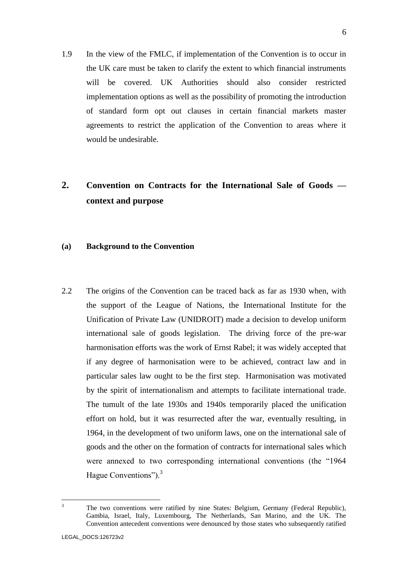1.9 In the view of the FMLC, if implementation of the Convention is to occur in the UK care must be taken to clarify the extent to which financial instruments will be covered. UK Authorities should also consider restricted implementation options as well as the possibility of promoting the introduction of standard form opt out clauses in certain financial markets master agreements to restrict the application of the Convention to areas where it would be undesirable.

# **2. Convention on Contracts for the International Sale of Goods context and purpose**

### **(a) Background to the Convention**

2.2 The origins of the Convention can be traced back as far as 1930 when, with the support of the League of Nations, the International Institute for the Unification of Private Law (UNIDROIT) made a decision to develop uniform international sale of goods legislation. The driving force of the pre-war harmonisation efforts was the work of Ernst Rabel; it was widely accepted that if any degree of harmonisation were to be achieved, contract law and in particular sales law ought to be the first step. Harmonisation was motivated by the spirit of internationalism and attempts to facilitate international trade. The tumult of the late 1930s and 1940s temporarily placed the unification effort on hold, but it was resurrected after the war, eventually resulting, in 1964, in the development of two uniform laws, one on the international sale of goods and the other on the formation of contracts for international sales which were annexed to two corresponding international conventions (the "1964 Hague Conventions").<sup>3</sup>

 $\overline{3}$ The two conventions were ratified by nine States: Belgium, Germany (Federal Republic), Gambia, Israel, Italy, Luxembourg, The Netherlands, San Marino, and the UK. The Convention antecedent conventions were denounced by those states who subsequently ratified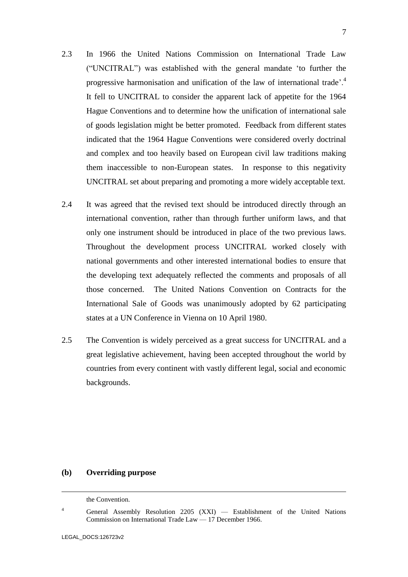- 2.3 In 1966 the United Nations Commission on International Trade Law ("UNCITRAL") was established with the general mandate 'to further the progressive harmonisation and unification of the law of international trade'.<sup>4</sup> It fell to UNCITRAL to consider the apparent lack of appetite for the 1964 Hague Conventions and to determine how the unification of international sale of goods legislation might be better promoted. Feedback from different states indicated that the 1964 Hague Conventions were considered overly doctrinal and complex and too heavily based on European civil law traditions making them inaccessible to non-European states. In response to this negativity UNCITRAL set about preparing and promoting a more widely acceptable text.
- 2.4 It was agreed that the revised text should be introduced directly through an international convention, rather than through further uniform laws, and that only one instrument should be introduced in place of the two previous laws. Throughout the development process UNCITRAL worked closely with national governments and other interested international bodies to ensure that the developing text adequately reflected the comments and proposals of all those concerned. The United Nations Convention on Contracts for the International Sale of Goods was unanimously adopted by 62 participating states at a UN Conference in Vienna on 10 April 1980.
- 2.5 The Convention is widely perceived as a great success for UNCITRAL and a great legislative achievement, having been accepted throughout the world by countries from every continent with vastly different legal, social and economic backgrounds.

### **(b) Overriding purpose**

<sup>4</sup> General Assembly Resolution 2205 (XXI) — Establishment of the United Nations Commission on International Trade Law — 17 December 1966.

<u>.</u>

the Convention.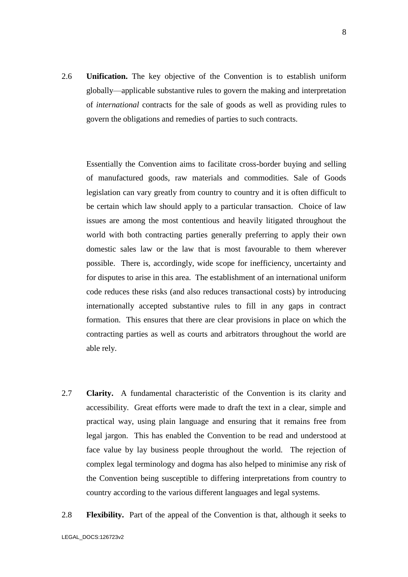2.6 **Unification.** The key objective of the Convention is to establish uniform globally—applicable substantive rules to govern the making and interpretation of *international* contracts for the sale of goods as well as providing rules to govern the obligations and remedies of parties to such contracts.

Essentially the Convention aims to facilitate cross-border buying and selling of manufactured goods, raw materials and commodities. Sale of Goods legislation can vary greatly from country to country and it is often difficult to be certain which law should apply to a particular transaction. Choice of law issues are among the most contentious and heavily litigated throughout the world with both contracting parties generally preferring to apply their own domestic sales law or the law that is most favourable to them wherever possible. There is, accordingly, wide scope for inefficiency, uncertainty and for disputes to arise in this area. The establishment of an international uniform code reduces these risks (and also reduces transactional costs) by introducing internationally accepted substantive rules to fill in any gaps in contract formation. This ensures that there are clear provisions in place on which the contracting parties as well as courts and arbitrators throughout the world are able rely.

- 2.7 **Clarity.** A fundamental characteristic of the Convention is its clarity and accessibility. Great efforts were made to draft the text in a clear, simple and practical way, using plain language and ensuring that it remains free from legal jargon. This has enabled the Convention to be read and understood at face value by lay business people throughout the world. The rejection of complex legal terminology and dogma has also helped to minimise any risk of the Convention being susceptible to differing interpretations from country to country according to the various different languages and legal systems.
- 2.8 **Flexibility.** Part of the appeal of the Convention is that, although it seeks to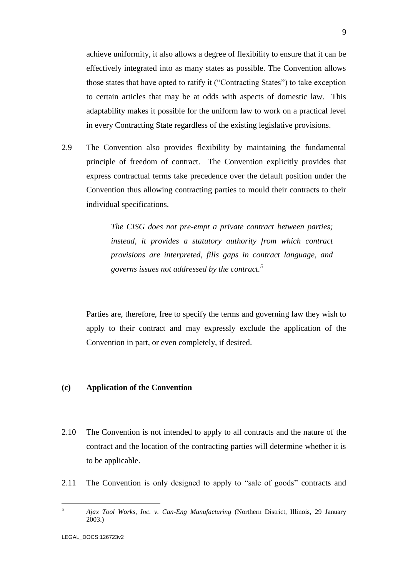achieve uniformity, it also allows a degree of flexibility to ensure that it can be effectively integrated into as many states as possible. The Convention allows those states that have opted to ratify it ("Contracting States") to take exception to certain articles that may be at odds with aspects of domestic law. This adaptability makes it possible for the uniform law to work on a practical level in every Contracting State regardless of the existing legislative provisions.

2.9 The Convention also provides flexibility by maintaining the fundamental principle of freedom of contract. The Convention explicitly provides that express contractual terms take precedence over the default position under the Convention thus allowing contracting parties to mould their contracts to their individual specifications.

> *The CISG does not pre-empt a private contract between parties; instead, it provides a statutory authority from which contract provisions are interpreted, fills gaps in contract language, and governs issues not addressed by the contract. 5*

Parties are, therefore, free to specify the terms and governing law they wish to apply to their contract and may expressly exclude the application of the Convention in part, or even completely, if desired.

### **(c) Application of the Convention**

- 2.10 The Convention is not intended to apply to all contracts and the nature of the contract and the location of the contracting parties will determine whether it is to be applicable.
- 2.11 The Convention is only designed to apply to "sale of goods" contracts and

 $\overline{5}$ 

<sup>5</sup> *Ajax Tool Works, Inc. v. Can-Eng Manufacturing* (Northern District, Illinois, 29 January 2003.)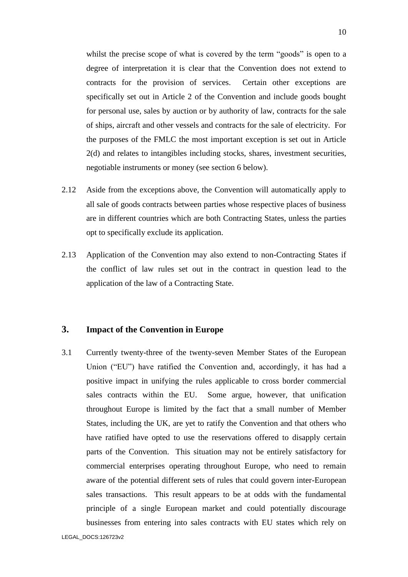whilst the precise scope of what is covered by the term "goods" is open to a degree of interpretation it is clear that the Convention does not extend to contracts for the provision of services. Certain other exceptions are specifically set out in Article 2 of the Convention and include goods bought for personal use, sales by auction or by authority of law, contracts for the sale of ships, aircraft and other vessels and contracts for the sale of electricity. For the purposes of the FMLC the most important exception is set out in Article 2(d) and relates to intangibles including stocks, shares, investment securities, negotiable instruments or money (see section 6 below).

- 2.12 Aside from the exceptions above, the Convention will automatically apply to all sale of goods contracts between parties whose respective places of business are in different countries which are both Contracting States, unless the parties opt to specifically exclude its application.
- 2.13 Application of the Convention may also extend to non-Contracting States if the conflict of law rules set out in the contract in question lead to the application of the law of a Contracting State.

### **3. Impact of the Convention in Europe**

3.1 Currently twenty-three of the twenty-seven Member States of the European Union ("EU") have ratified the Convention and, accordingly, it has had a positive impact in unifying the rules applicable to cross border commercial sales contracts within the EU. Some argue, however, that unification throughout Europe is limited by the fact that a small number of Member States, including the UK, are yet to ratify the Convention and that others who have ratified have opted to use the reservations offered to disapply certain parts of the Convention. This situation may not be entirely satisfactory for commercial enterprises operating throughout Europe, who need to remain aware of the potential different sets of rules that could govern inter-European sales transactions. This result appears to be at odds with the fundamental principle of a single European market and could potentially discourage businesses from entering into sales contracts with EU states which rely on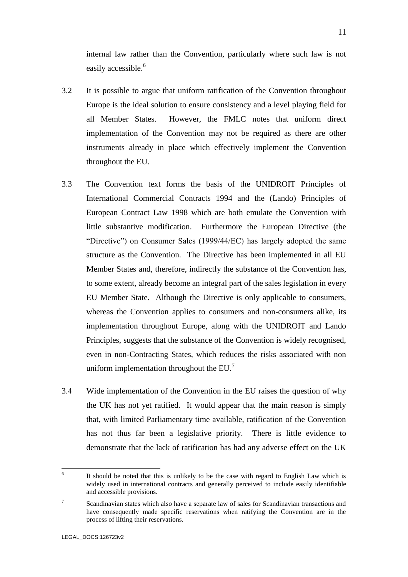internal law rather than the Convention, particularly where such law is not easily accessible.<sup>6</sup>

- 3.2 It is possible to argue that uniform ratification of the Convention throughout Europe is the ideal solution to ensure consistency and a level playing field for all Member States. However, the FMLC notes that uniform direct implementation of the Convention may not be required as there are other instruments already in place which effectively implement the Convention throughout the EU.
- 3.3 The Convention text forms the basis of the UNIDROIT Principles of International Commercial Contracts 1994 and the (Lando) Principles of European Contract Law 1998 which are both emulate the Convention with little substantive modification. Furthermore the European Directive (the "Directive") on Consumer Sales (1999/44/EC) has largely adopted the same structure as the Convention. The Directive has been implemented in all EU Member States and, therefore, indirectly the substance of the Convention has, to some extent, already become an integral part of the sales legislation in every EU Member State. Although the Directive is only applicable to consumers, whereas the Convention applies to consumers and non-consumers alike, its implementation throughout Europe, along with the UNIDROIT and Lando Principles, suggests that the substance of the Convention is widely recognised, even in non-Contracting States, which reduces the risks associated with non uniform implementation throughout the  $EU^7$ .
- 3.4 Wide implementation of the Convention in the EU raises the question of why the UK has not yet ratified. It would appear that the main reason is simply that, with limited Parliamentary time available, ratification of the Convention has not thus far been a legislative priority. There is little evidence to demonstrate that the lack of ratification has had any adverse effect on the UK

1

<sup>6</sup> It should be noted that this is unlikely to be the case with regard to English Law which is widely used in international contracts and generally perceived to include easily identifiable and accessible provisions.

<sup>7</sup> Scandinavian states which also have a separate law of sales for Scandinavian transactions and have consequently made specific reservations when ratifying the Convention are in the process of lifting their reservations.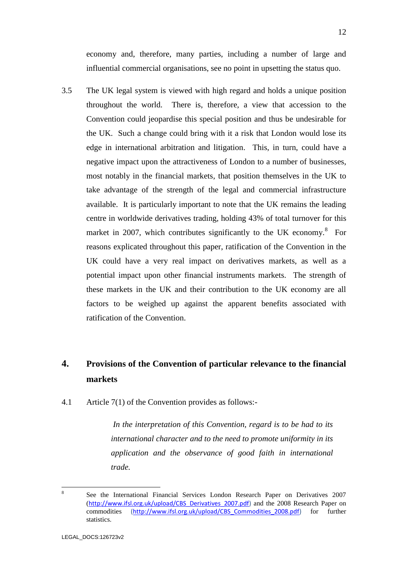economy and, therefore, many parties, including a number of large and influential commercial organisations, see no point in upsetting the status quo.

3.5 The UK legal system is viewed with high regard and holds a unique position throughout the world. There is, therefore, a view that accession to the Convention could jeopardise this special position and thus be undesirable for the UK. Such a change could bring with it a risk that London would lose its edge in international arbitration and litigation. This, in turn, could have a negative impact upon the attractiveness of London to a number of businesses, most notably in the financial markets, that position themselves in the UK to take advantage of the strength of the legal and commercial infrastructure available. It is particularly important to note that the UK remains the leading centre in worldwide derivatives trading, holding 43% of total turnover for this market in 2007, which contributes significantly to the UK economy.<sup>8</sup> For reasons explicated throughout this paper, ratification of the Convention in the UK could have a very real impact on derivatives markets, as well as a potential impact upon other financial instruments markets. The strength of these markets in the UK and their contribution to the UK economy are all factors to be weighed up against the apparent benefits associated with ratification of the Convention.

# **4. Provisions of the Convention of particular relevance to the financial markets**

4.1 Article 7(1) of the Convention provides as follows:-

*In the interpretation of this Convention, regard is to be had to its international character and to the need to promote uniformity in its application and the observance of good faith in international trade.*

 $\frac{1}{8}$ See the International Financial Services London Research Paper on Derivatives 2007 ([http://www.ifsl.org.uk/upload/CBS\\_Derivatives\\_2007.pdf\)](http://www.ifsl.org.uk/upload/CBS_Derivatives_2007.pdf) and the 2008 Research Paper on commodities [\(http://www.ifsl.org.uk/upload/CBS\\_Commodities\\_2008.pdf\)](http://www.ifsl.org.uk/upload/CBS_Commodities_2008.pdf) for further statistics.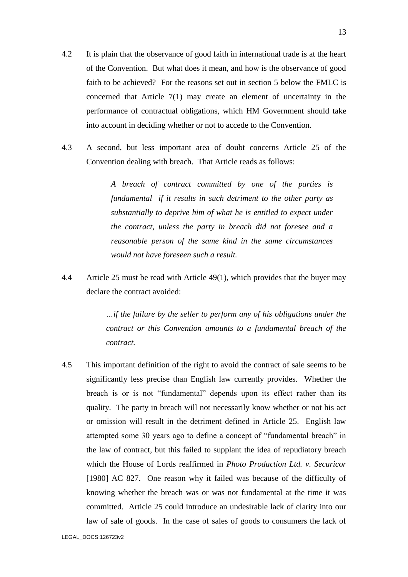- 4.2 It is plain that the observance of good faith in international trade is at the heart of the Convention. But what does it mean, and how is the observance of good faith to be achieved? For the reasons set out in section 5 below the FMLC is concerned that Article 7(1) may create an element of uncertainty in the performance of contractual obligations, which HM Government should take into account in deciding whether or not to accede to the Convention.
- 4.3 A second, but less important area of doubt concerns Article 25 of the Convention dealing with breach. That Article reads as follows:

*A breach of contract committed by one of the parties is fundamental if it results in such detriment to the other party as substantially to deprive him of what he is entitled to expect under the contract, unless the party in breach did not foresee and a reasonable person of the same kind in the same circumstances would not have foreseen such a result.*

4.4 Article 25 must be read with Article 49(1), which provides that the buyer may declare the contract avoided:

> *…if the failure by the seller to perform any of his obligations under the contract or this Convention amounts to a fundamental breach of the contract.*

4.5 This important definition of the right to avoid the contract of sale seems to be significantly less precise than English law currently provides. Whether the breach is or is not "fundamental" depends upon its effect rather than its quality. The party in breach will not necessarily know whether or not his act or omission will result in the detriment defined in Article 25. English law attempted some 30 years ago to define a concept of "fundamental breach" in the law of contract, but this failed to supplant the idea of repudiatory breach which the House of Lords reaffirmed in *Photo Production Ltd. v. Securicor* [1980] AC 827. One reason why it failed was because of the difficulty of knowing whether the breach was or was not fundamental at the time it was committed. Article 25 could introduce an undesirable lack of clarity into our law of sale of goods. In the case of sales of goods to consumers the lack of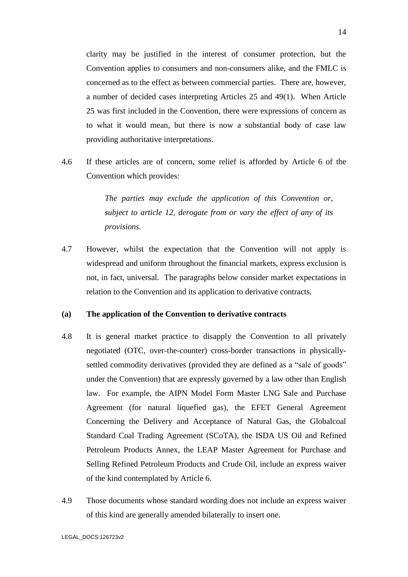clarity may be justified in the interest of consumer protection, but the Convention applies to consumers and non-consumers alike, and the FMLC is concerned as to the effect as between commercial parties. There are, however, a number of decided cases interpreting Articles 25 and 49(1). When Article 25 was first included in the Convention, there were expressions of concern as to what it would mean, but there is now a substantial body of case law providing authoritative interpretations.

4.6 If these articles are of concern, some relief is afforded by Article 6 of the Convention which provides:

> *The parties may exclude the application of this Convention or, subject to article 12, derogate from or vary the effect of any of its provisions.*

4.7 However, whilst the expectation that the Convention will not apply is widespread and uniform throughout the financial markets, express exclusion is not, in fact, universal. The paragraphs below consider market expectations in relation to the Convention and its application to derivative contracts.

#### **(a) The application of the Convention to derivative contracts**

- 4.8 It is general market practice to disapply the Convention to all privately negotiated (OTC, over-the-counter) cross-border transactions in physicallysettled commodity derivatives (provided they are defined as a "sale of goods" under the Convention) that are expressly governed by a law other than English law. For example, the AIPN Model Form Master LNG Sale and Purchase Agreement (for natural liquefied gas), the EFET General Agreement Concerning the Delivery and Acceptance of Natural Gas, the Globalcoal Standard Coal Trading Agreement (SCoTA), the ISDA US Oil and Refined Petroleum Products Annex, the LEAP Master Agreement for Purchase and Selling Refined Petroleum Products and Crude Oil, include an express waiver of the kind contemplated by Article 6.
- 4.9 Those documents whose standard wording does not include an express waiver of this kind are generally amended bilaterally to insert one.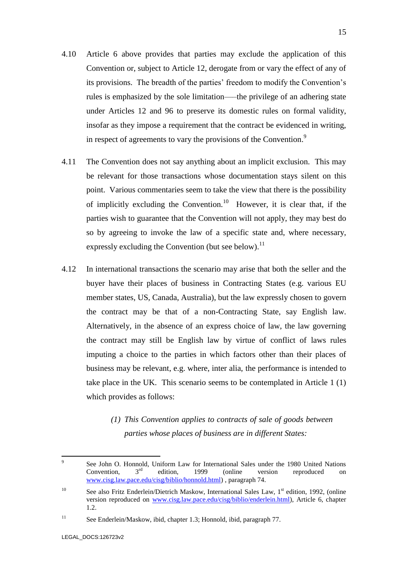- 4.10 Article 6 above provides that parties may exclude the application of this Convention or, subject to Article 12, derogate from or vary the effect of any of its provisions. The breadth of the parties' freedom to modify the Convention's rules is emphasized by the sole limitation—–the privilege of an adhering state under Articles 12 and 96 to preserve its domestic rules on formal validity, insofar as they impose a requirement that the contract be evidenced in writing, in respect of agreements to vary the provisions of the Convention.<sup>9</sup>
- 4.11 The Convention does not say anything about an implicit exclusion. This may be relevant for those transactions whose documentation stays silent on this point. Various commentaries seem to take the view that there is the possibility of implicitly excluding the Convention.<sup>10</sup> However, it is clear that, if the parties wish to guarantee that the Convention will not apply, they may best do so by agreeing to invoke the law of a specific state and, where necessary, expressly excluding the Convention (but see below).<sup>11</sup>
- 4.12 In international transactions the scenario may arise that both the seller and the buyer have their places of business in Contracting States (e.g. various EU member states, US, Canada, Australia), but the law expressly chosen to govern the contract may be that of a non-Contracting State, say English law. Alternatively, in the absence of an express choice of law, the law governing the contract may still be English law by virtue of conflict of laws rules imputing a choice to the parties in which factors other than their places of business may be relevant, e.g. where, inter alia, the performance is intended to take place in the UK. This scenario seems to be contemplated in Article 1 (1) which provides as follows:
	- *(1) This Convention applies to contracts of sale of goods between parties whose places of business are in different States:*

<sup>-&</sup>lt;br>9 See John O. Honnold, Uniform Law for International Sales under the 1980 United Nations<br>Convention.  $3<sup>rd</sup>$  edition. 1999 (online version reproduced on Convention,  $3<sup>rd</sup>$  edition, 1999 (online version reproduced on [www.cisg.law.pace.edu/cisg/biblio/honnold.html\)](http://www.cisg.law.pace.edu/cisg/biblio/honnold.html) , paragraph 74.

<sup>&</sup>lt;sup>10</sup> See also Fritz Enderlein/Dietrich Maskow, International Sales Law, 1<sup>st</sup> edition, 1992, (online version reproduced on [www.cisg.law.pace.edu/cisg/biblio/enderlein.html\)](http://www.cisg.law.pace.edu/cisg/biblio/enderlein.html), Article 6, chapter 1.2.

<sup>&</sup>lt;sup>11</sup> See Enderlein/Maskow, ibid, chapter 1.3; Honnold, ibid, paragraph 77.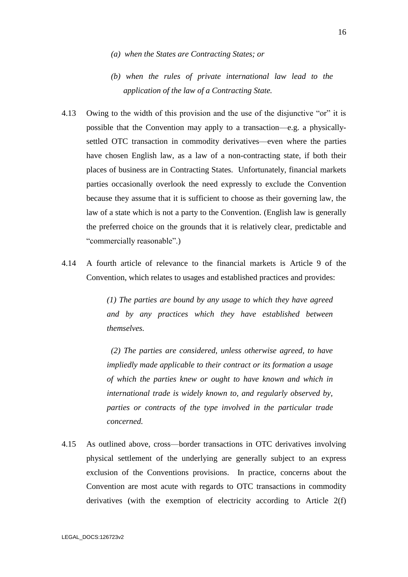- *(a) when the States are Contracting States; or*
- *(b) when the rules of private international law lead to the application of the law of a Contracting State.*
- 4.13 Owing to the width of this provision and the use of the disjunctive "or" it is possible that the Convention may apply to a transaction—e.g. a physicallysettled OTC transaction in commodity derivatives—even where the parties have chosen English law, as a law of a non-contracting state, if both their places of business are in Contracting States. Unfortunately, financial markets parties occasionally overlook the need expressly to exclude the Convention because they assume that it is sufficient to choose as their governing law, the law of a state which is not a party to the Convention. (English law is generally the preferred choice on the grounds that it is relatively clear, predictable and "commercially reasonable".)
- 4.14 A fourth article of relevance to the financial markets is Article 9 of the Convention, which relates to usages and established practices and provides:

*(1) The parties are bound by any usage to which they have agreed and by any practices which they have established between themselves.*

*(2) The parties are considered, unless otherwise agreed, to have impliedly made applicable to their contract or its formation a usage of which the parties knew or ought to have known and which in international trade is widely known to, and regularly observed by, parties or contracts of the type involved in the particular trade concerned.*

4.15 As outlined above, cross—border transactions in OTC derivatives involving physical settlement of the underlying are generally subject to an express exclusion of the Conventions provisions. In practice, concerns about the Convention are most acute with regards to OTC transactions in commodity derivatives (with the exemption of electricity according to Article 2(f)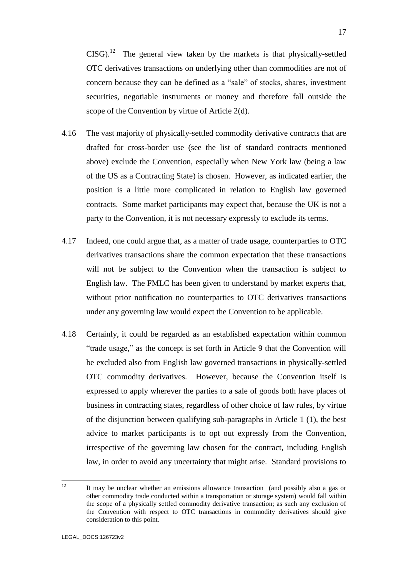$CISG$ ).<sup>12</sup> The general view taken by the markets is that physically-settled OTC derivatives transactions on underlying other than commodities are not of concern because they can be defined as a "sale" of stocks, shares, investment securities, negotiable instruments or money and therefore fall outside the scope of the Convention by virtue of Article 2(d).

- 4.16 The vast majority of physically-settled commodity derivative contracts that are drafted for cross-border use (see the list of standard contracts mentioned above) exclude the Convention, especially when New York law (being a law of the US as a Contracting State) is chosen. However, as indicated earlier, the position is a little more complicated in relation to English law governed contracts. Some market participants may expect that, because the UK is not a party to the Convention, it is not necessary expressly to exclude its terms.
- 4.17 Indeed, one could argue that, as a matter of trade usage, counterparties to OTC derivatives transactions share the common expectation that these transactions will not be subject to the Convention when the transaction is subject to English law. The FMLC has been given to understand by market experts that, without prior notification no counterparties to OTC derivatives transactions under any governing law would expect the Convention to be applicable.
- 4.18 Certainly, it could be regarded as an established expectation within common "trade usage," as the concept is set forth in Article 9 that the Convention will be excluded also from English law governed transactions in physically-settled OTC commodity derivatives. However, because the Convention itself is expressed to apply wherever the parties to a sale of goods both have places of business in contracting states, regardless of other choice of law rules, by virtue of the disjunction between qualifying sub-paragraphs in Article 1 (1), the best advice to market participants is to opt out expressly from the Convention, irrespective of the governing law chosen for the contract, including English law, in order to avoid any uncertainty that might arise. Standard provisions to

 $12<sup>12</sup>$ <sup>12</sup> It may be unclear whether an emissions allowance transaction (and possibly also a gas or other commodity trade conducted within a transportation or storage system) would fall within the scope of a physically settled commodity derivative transaction; as such any exclusion of the Convention with respect to OTC transactions in commodity derivatives should give consideration to this point.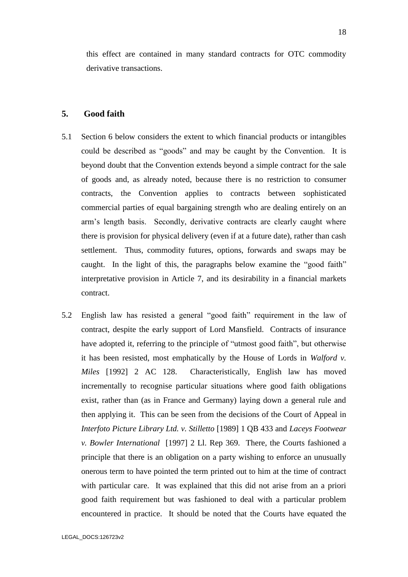this effect are contained in many standard contracts for OTC commodity derivative transactions.

### **5. Good faith**

- 5.1 Section 6 below considers the extent to which financial products or intangibles could be described as "goods" and may be caught by the Convention. It is beyond doubt that the Convention extends beyond a simple contract for the sale of goods and, as already noted, because there is no restriction to consumer contracts, the Convention applies to contracts between sophisticated commercial parties of equal bargaining strength who are dealing entirely on an arm's length basis. Secondly, derivative contracts are clearly caught where there is provision for physical delivery (even if at a future date), rather than cash settlement. Thus, commodity futures, options, forwards and swaps may be caught. In the light of this, the paragraphs below examine the "good faith" interpretative provision in Article 7, and its desirability in a financial markets contract.
- 5.2 English law has resisted a general "good faith" requirement in the law of contract, despite the early support of Lord Mansfield. Contracts of insurance have adopted it, referring to the principle of "utmost good faith", but otherwise it has been resisted, most emphatically by the House of Lords in *Walford v. Miles* [1992] 2 AC 128. Characteristically, English law has moved incrementally to recognise particular situations where good faith obligations exist, rather than (as in France and Germany) laying down a general rule and then applying it. This can be seen from the decisions of the Court of Appeal in *Interfoto Picture Library Ltd. v. Stilletto* [1989] 1 QB 433 and *Laceys Footwear v. Bowler International* [1997] 2 Ll. Rep 369. There, the Courts fashioned a principle that there is an obligation on a party wishing to enforce an unusually onerous term to have pointed the term printed out to him at the time of contract with particular care. It was explained that this did not arise from an a priori good faith requirement but was fashioned to deal with a particular problem encountered in practice. It should be noted that the Courts have equated the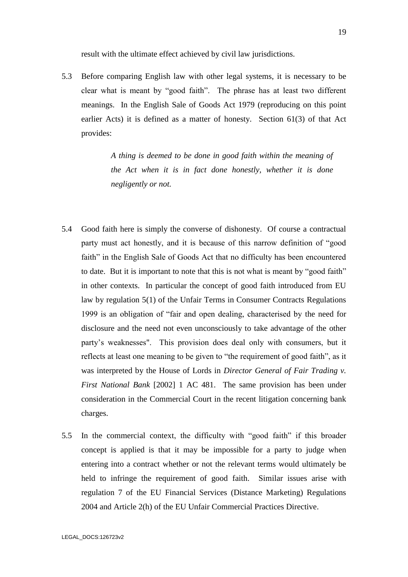result with the ultimate effect achieved by civil law jurisdictions.

5.3 Before comparing English law with other legal systems, it is necessary to be clear what is meant by "good faith". The phrase has at least two different meanings. In the English Sale of Goods Act 1979 (reproducing on this point earlier Acts) it is defined as a matter of honesty. Section 61(3) of that Act provides:

> *A thing is deemed to be done in good faith within the meaning of the Act when it is in fact done honestly, whether it is done negligently or not.*

- 5.4 Good faith here is simply the converse of dishonesty. Of course a contractual party must act honestly, and it is because of this narrow definition of "good faith" in the English Sale of Goods Act that no difficulty has been encountered to date. But it is important to note that this is not what is meant by "good faith" in other contexts. In particular the concept of good faith introduced from EU law by regulation 5(1) of the Unfair Terms in Consumer Contracts Regulations 1999 is an obligation of "fair and open dealing, characterised by the need for disclosure and the need not even unconsciously to take advantage of the other party's weaknesses". This provision does deal only with consumers, but it reflects at least one meaning to be given to "the requirement of good faith", as it was interpreted by the House of Lords in *Director General of Fair Trading v. First National Bank* [2002] 1 AC 481. The same provision has been under consideration in the Commercial Court in the recent litigation concerning bank charges.
- 5.5 In the commercial context, the difficulty with "good faith" if this broader concept is applied is that it may be impossible for a party to judge when entering into a contract whether or not the relevant terms would ultimately be held to infringe the requirement of good faith. Similar issues arise with regulation 7 of the EU Financial Services (Distance Marketing) Regulations 2004 and Article 2(h) of the EU Unfair Commercial Practices Directive.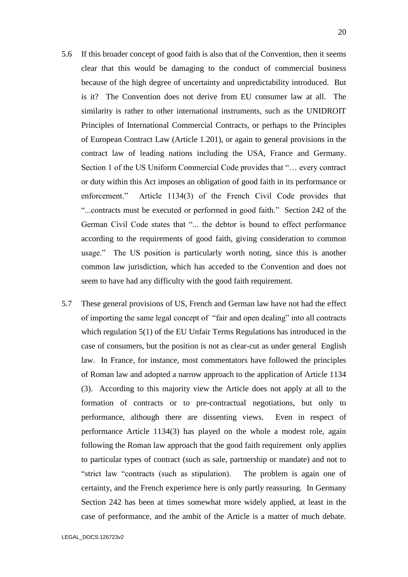- 5.6 If this broader concept of good faith is also that of the Convention, then it seems clear that this would be damaging to the conduct of commercial business because of the high degree of uncertainty and unpredictability introduced. But is it? The Convention does not derive from EU consumer law at all. The similarity is rather to other international instruments, such as the UNIDROIT Principles of International Commercial Contracts, or perhaps to the Principles of European Contract Law (Article 1.201), or again to general provisions in the contract law of leading nations including the USA, France and Germany. Section 1 of the US Uniform Commercial Code provides that "… every contract or duty within this Act imposes an obligation of good faith in its performance or enforcement." Article 1134(3) of the French Civil Code provides that "...contracts must be executed or performed in good faith." Section 242 of the German Civil Code states that "... the debtor is bound to effect performance according to the requirements of good faith, giving consideration to common usage." The US position is particularly worth noting, since this is another common law jurisdiction, which has acceded to the Convention and does not seem to have had any difficulty with the good faith requirement.
- 5.7 These general provisions of US, French and German law have not had the effect of importing the same legal concept of "fair and open dealing" into all contracts which regulation 5(1) of the EU Unfair Terms Regulations has introduced in the case of consumers, but the position is not as clear-cut as under general English law. In France, for instance, most commentators have followed the principles of Roman law and adopted a narrow approach to the application of Article 1134 (3). According to this majority view the Article does not apply at all to the formation of contracts or to pre-contractual negotiations, but only to performance, although there are dissenting views. Even in respect of performance Article 1134(3) has played on the whole a modest role, again following the Roman law approach that the good faith requirement only applies to particular types of contract (such as sale, partnership or mandate) and not to "strict law "contracts (such as stipulation). The problem is again one of certainty, and the French experience here is only partly reassuring. In Germany Section 242 has been at times somewhat more widely applied, at least in the case of performance, and the ambit of the Article is a matter of much debate.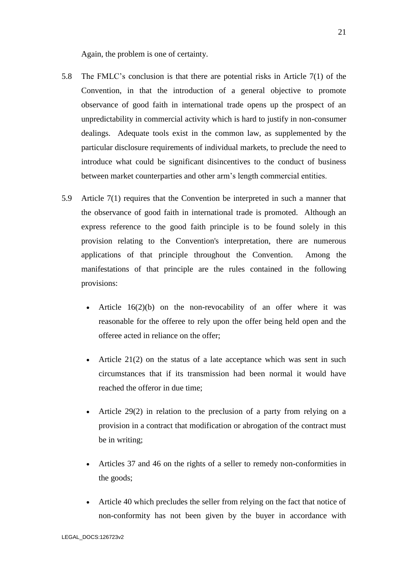Again, the problem is one of certainty.

- 5.8 The FMLC's conclusion is that there are potential risks in Article 7(1) of the Convention, in that the introduction of a general objective to promote observance of good faith in international trade opens up the prospect of an unpredictability in commercial activity which is hard to justify in non-consumer dealings. Adequate tools exist in the common law, as supplemented by the particular disclosure requirements of individual markets, to preclude the need to introduce what could be significant disincentives to the conduct of business between market counterparties and other arm's length commercial entities.
- 5.9 Article 7(1) requires that the Convention be interpreted in such a manner that the observance of good faith in international trade is promoted. Although an express reference to the good faith principle is to be found solely in this provision relating to the Convention's interpretation, there are numerous applications of that principle throughout the Convention. Among the manifestations of that principle are the rules contained in the following provisions:
	- Article  $16(2)(b)$  on the non-revocability of an offer where it was reasonable for the offeree to rely upon the offer being held open and the offeree acted in reliance on the offer;
	- Article  $21(2)$  on the status of a late acceptance which was sent in such circumstances that if its transmission had been normal it would have reached the offeror in due time;
	- Article 29(2) in relation to the preclusion of a party from relying on a provision in a contract that modification or abrogation of the contract must be in writing;
	- Articles 37 and 46 on the rights of a seller to remedy non-conformities in the goods;
	- Article 40 which precludes the seller from relying on the fact that notice of non-conformity has not been given by the buyer in accordance with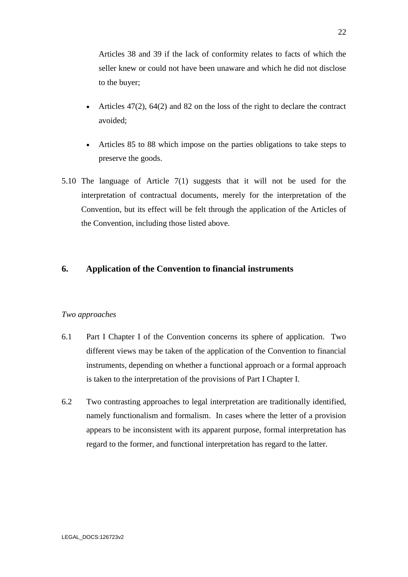Articles 38 and 39 if the lack of conformity relates to facts of which the seller knew or could not have been unaware and which he did not disclose to the buyer;

- Articles 47(2), 64(2) and 82 on the loss of the right to declare the contract avoided;
- Articles 85 to 88 which impose on the parties obligations to take steps to preserve the goods.
- 5.10 The language of Article 7(1) suggests that it will not be used for the interpretation of contractual documents, merely for the interpretation of the Convention, but its effect will be felt through the application of the Articles of the Convention, including those listed above.

## **6. Application of the Convention to financial instruments**

### *Two approaches*

- 6.1 Part I Chapter I of the Convention concerns its sphere of application. Two different views may be taken of the application of the Convention to financial instruments, depending on whether a functional approach or a formal approach is taken to the interpretation of the provisions of Part I Chapter I.
- 6.2 Two contrasting approaches to legal interpretation are traditionally identified, namely functionalism and formalism. In cases where the letter of a provision appears to be inconsistent with its apparent purpose, formal interpretation has regard to the former, and functional interpretation has regard to the latter.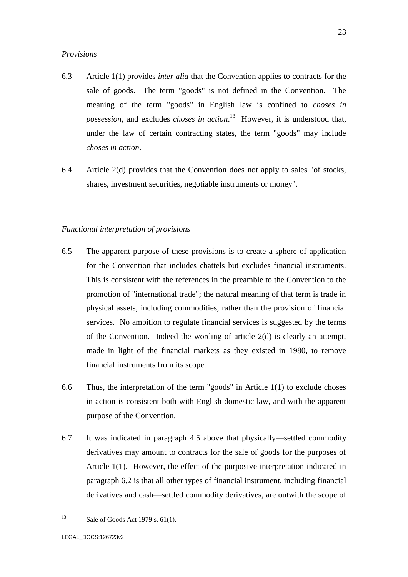### *Provisions*

- 6.3 Article 1(1) provides *inter alia* that the Convention applies to contracts for the sale of goods. The term "goods" is not defined in the Convention. The meaning of the term "goods" in English law is confined to *choses in possession*, and excludes *choses in action*. 13 However, it is understood that, under the law of certain contracting states, the term "goods" may include *choses in action*.
- 6.4 Article 2(d) provides that the Convention does not apply to sales "of stocks, shares, investment securities, negotiable instruments or money".

### *Functional interpretation of provisions*

- 6.5 The apparent purpose of these provisions is to create a sphere of application for the Convention that includes chattels but excludes financial instruments. This is consistent with the references in the preamble to the Convention to the promotion of "international trade"; the natural meaning of that term is trade in physical assets, including commodities, rather than the provision of financial services. No ambition to regulate financial services is suggested by the terms of the Convention. Indeed the wording of article 2(d) is clearly an attempt, made in light of the financial markets as they existed in 1980, to remove financial instruments from its scope.
- 6.6 Thus, the interpretation of the term "goods" in Article 1(1) to exclude choses in action is consistent both with English domestic law, and with the apparent purpose of the Convention.
- 6.7 It was indicated in paragraph 4.5 above that physically—settled commodity derivatives may amount to contracts for the sale of goods for the purposes of Article 1(1). However, the effect of the purposive interpretation indicated in paragraph 6.2 is that all other types of financial instrument, including financial derivatives and cash—settled commodity derivatives, are outwith the scope of

<sup>13</sup> Sale of Goods Act 1979 s. 61(1).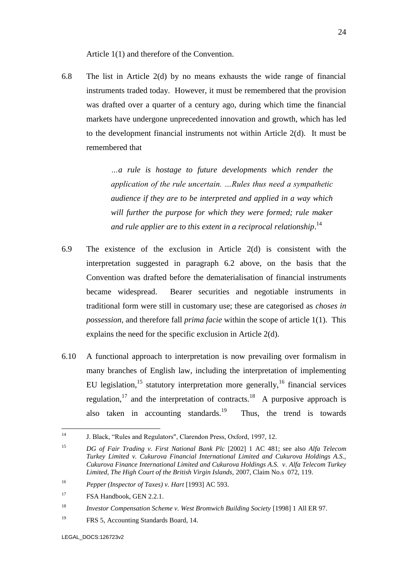Article 1(1) and therefore of the Convention.

6.8 The list in Article 2(d) by no means exhausts the wide range of financial instruments traded today. However, it must be remembered that the provision was drafted over a quarter of a century ago, during which time the financial markets have undergone unprecedented innovation and growth, which has led to the development financial instruments not within Article 2(d). It must be remembered that

> *…a rule is hostage to future developments which render the application of the rule uncertain. …Rules thus need a sympathetic audience if they are to be interpreted and applied in a way which will further the purpose for which they were formed; rule maker and rule applier are to this extent in a reciprocal relationship*. 14

- 6.9 The existence of the exclusion in Article 2(d) is consistent with the interpretation suggested in paragraph 6.2 above, on the basis that the Convention was drafted before the dematerialisation of financial instruments became widespread. Bearer securities and negotiable instruments in traditional form were still in customary use; these are categorised as *choses in possession*, and therefore fall *prima facie* within the scope of article 1(1). This explains the need for the specific exclusion in Article 2(d).
- 6.10 A functional approach to interpretation is now prevailing over formalism in many branches of English law, including the interpretation of implementing EU legislation,<sup>15</sup> statutory interpretation more generally,<sup>16</sup> financial services regulation,<sup>17</sup> and the interpretation of contracts.<sup>18</sup> A purposive approach is also taken in accounting standards.<sup>19</sup> Thus, the trend is towards

 $14$ <sup>14</sup> J. Black, "Rules and Regulators", Clarendon Press, Oxford, 1997, 12.

<sup>15</sup> *DG of Fair Trading v. First National Bank Plc* [2002] 1 AC 481; see also *Alfa Telecom Turkey Limited v. Cukurova Financial International Limited and Cukurova Holdings A.S., Cukurova Finance International Limited and Cukurova Holdings A.S. v. Alfa Telecom Turkey Limited, The High Court of the British Virgin Islands,* 2007, Claim No.s 072, 119.

<sup>16</sup> *Pepper (Inspector of Taxes) v. Hart* [1993] AC 593.

<sup>&</sup>lt;sup>17</sup> FSA Handbook, GEN 2.2.1.

<sup>18</sup> *Investor Compensation Scheme v. West Bromwich Building Society* [1998] 1 All ER 97.

<sup>&</sup>lt;sup>19</sup> FRS 5, Accounting Standards Board, 14.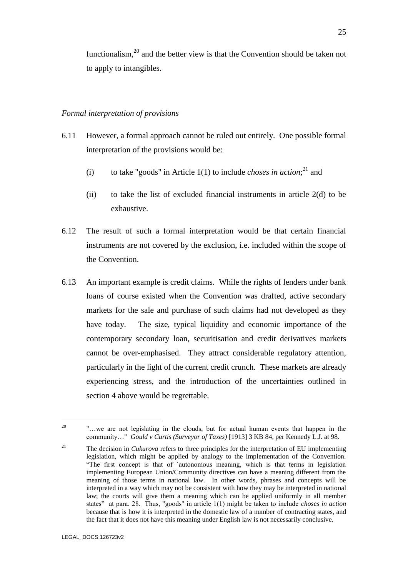functionalism,<sup>20</sup> and the better view is that the Convention should be taken not to apply to intangibles.

### *Formal interpretation of provisions*

- 6.11 However, a formal approach cannot be ruled out entirely. One possible formal interpretation of the provisions would be:
	- (i) to take "goods" in Article  $1(1)$  to include *choses in action*;<sup>21</sup> and
	- (ii) to take the list of excluded financial instruments in article 2(d) to be exhaustive.
- 6.12 The result of such a formal interpretation would be that certain financial instruments are not covered by the exclusion, i.e. included within the scope of the Convention.
- 6.13 An important example is credit claims. While the rights of lenders under bank loans of course existed when the Convention was drafted, active secondary markets for the sale and purchase of such claims had not developed as they have today. The size, typical liquidity and economic importance of the contemporary secondary loan, securitisation and credit derivatives markets cannot be over-emphasised. They attract considerable regulatory attention, particularly in the light of the current credit crunch. These markets are already experiencing stress, and the introduction of the uncertainties outlined in section 4 above would be regrettable.

 $20^{\circ}$ <sup>20</sup> "…we are not legislating in the clouds, but for actual human events that happen in the community…" *Gould v Curtis (Surveyor of Taxes)* [1913] 3 KB 84, per Kennedy L.J. at 98.

<sup>&</sup>lt;sup>21</sup> The decision in *Cukurova* refers to three principles for the interpretation of EU implementing legislation, which might be applied by analogy to the implementation of the Convention. "The first concept is that of `autonomous meaning, which is that terms in legislation implementing European Union/Community directives can have a meaning different from the meaning of those terms in national law. In other words, phrases and concepts will be interpreted in a way which may not be consistent with how they may be interpreted in national law; the courts will give them a meaning which can be applied uniformly in all member states" at para. 28. Thus, "goods" in article 1(1) might be taken to include *choses in action* because that is how it is interpreted in the domestic law of a number of contracting states, and the fact that it does not have this meaning under English law is not necessarily conclusive.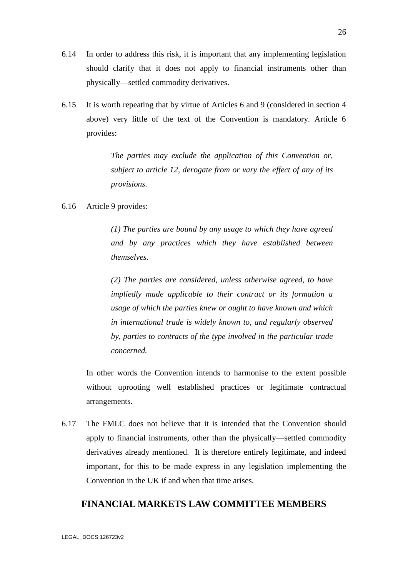- 6.14 In order to address this risk, it is important that any implementing legislation should clarify that it does not apply to financial instruments other than physically—settled commodity derivatives.
- 6.15 It is worth repeating that by virtue of Articles 6 and 9 (considered in section 4 above) very little of the text of the Convention is mandatory. Article 6 provides:

*The parties may exclude the application of this Convention or, subject to article 12, derogate from or vary the effect of any of its provisions.*

### 6.16 Article 9 provides:

*(1) The parties are bound by any usage to which they have agreed and by any practices which they have established between themselves.* 

*(2) The parties are considered, unless otherwise agreed, to have impliedly made applicable to their contract or its formation a usage of which the parties knew or ought to have known and which in international trade is widely known to, and regularly observed by, parties to contracts of the type involved in the particular trade concerned.*

In other words the Convention intends to harmonise to the extent possible without uprooting well established practices or legitimate contractual arrangements.

6.17 The FMLC does not believe that it is intended that the Convention should apply to financial instruments, other than the physically—settled commodity derivatives already mentioned. It is therefore entirely legitimate, and indeed important, for this to be made express in any legislation implementing the Convention in the UK if and when that time arises.

## **FINANCIAL MARKETS LAW COMMITTEE MEMBERS**